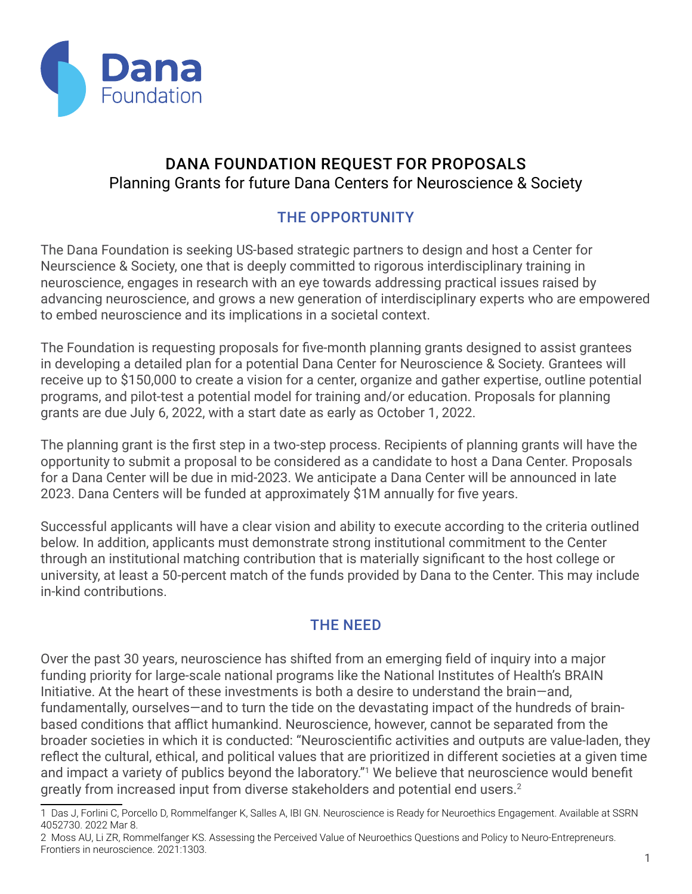

# DANA FOUNDATION REQUEST FOR PROPOSALS Planning Grants for future Dana Centers for Neuroscience & Society

# THE OPPORTUNITY

The Dana Foundation is seeking US-based strategic partners to design and host a Center for Neurscience & Society, one that is deeply committed to rigorous interdisciplinary training in neuroscience, engages in research with an eye towards addressing practical issues raised by advancing neuroscience, and grows a new generation of interdisciplinary experts who are empowered to embed neuroscience and its implications in a societal context.

The Foundation is requesting proposals for five-month planning grants designed to assist grantees in developing a detailed plan for a potential Dana Center for Neuroscience & Society. Grantees will receive up to \$150,000 to create a vision for a center, organize and gather expertise, outline potential programs, and pilot-test a potential model for training and/or education. Proposals for planning grants are due July 6, 2022, with a start date as early as October 1, 2022.

The planning grant is the first step in a two-step process. Recipients of planning grants will have the opportunity to submit a proposal to be considered as a candidate to host a Dana Center. Proposals for a Dana Center will be due in mid-2023. We anticipate a Dana Center will be announced in late 2023. Dana Centers will be funded at approximately \$1M annually for five years.

Successful applicants will have a clear vision and ability to execute according to the criteria outlined below. In addition, applicants must demonstrate strong institutional commitment to the Center through an institutional matching contribution that is materially significant to the host college or university, at least a 50-percent match of the funds provided by Dana to the Center. This may include in-kind contributions.

## THE NEED

Over the past 30 years, neuroscience has shifted from an emerging field of inquiry into a major funding priority for large-scale national programs like the National Institutes of Health's BRAIN Initiative. At the heart of these investments is both a desire to understand the brain—and, fundamentally, ourselves—and to turn the tide on the devastating impact of the hundreds of brainbased conditions that afflict humankind. Neuroscience, however, cannot be separated from the broader societies in which it is conducted: "Neuroscientific activities and outputs are value-laden, they reflect the cultural, ethical, and political values that are prioritized in different societies at a given time and impact a variety of publics beyond the laboratory."1 We believe that neuroscience would benefit greatly from increased input from diverse stakeholders and potential end users.<sup>2</sup>

<sup>1</sup> Das J, Forlini C, Porcello D, Rommelfanger K, Salles A, IBI GN. Neuroscience is Ready for Neuroethics Engagement. Available at SSRN 4052730. 2022 Mar 8.

<sup>2</sup> Moss AU, Li ZR, Rommelfanger KS. Assessing the Perceived Value of Neuroethics Questions and Policy to Neuro-Entrepreneurs. Frontiers in neuroscience. 2021:1303.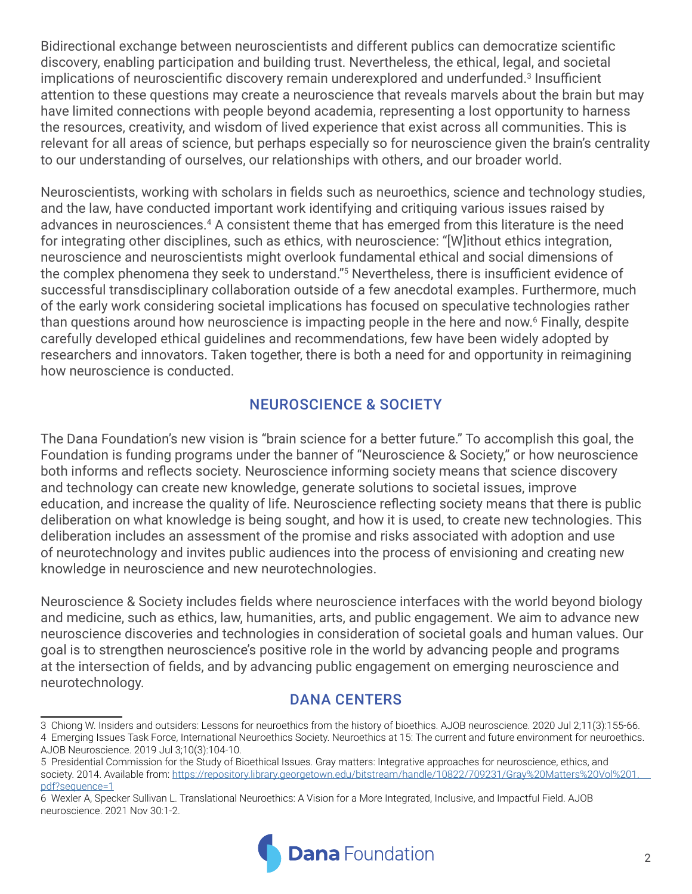Bidirectional exchange between neuroscientists and different publics can democratize scientific discovery, enabling participation and building trust. Nevertheless, the ethical, legal, and societal implications of neuroscientific discovery remain underexplored and underfunded.<sup>3</sup> Insufficient attention to these questions may create a neuroscience that reveals marvels about the brain but may have limited connections with people beyond academia, representing a lost opportunity to harness the resources, creativity, and wisdom of lived experience that exist across all communities. This is relevant for all areas of science, but perhaps especially so for neuroscience given the brain's centrality to our understanding of ourselves, our relationships with others, and our broader world.

Neuroscientists, working with scholars in fields such as neuroethics, science and technology studies, and the law, have conducted important work identifying and critiquing various issues raised by advances in neurosciences.<sup>4</sup> A consistent theme that has emerged from this literature is the need for integrating other disciplines, such as ethics, with neuroscience: "[W]ithout ethics integration, neuroscience and neuroscientists might overlook fundamental ethical and social dimensions of the complex phenomena they seek to understand."5 Nevertheless, there is insufficient evidence of successful transdisciplinary collaboration outside of a few anecdotal examples. Furthermore, much of the early work considering societal implications has focused on speculative technologies rather than questions around how neuroscience is impacting people in the here and now.6 Finally, despite carefully developed ethical guidelines and recommendations, few have been widely adopted by researchers and innovators. Taken together, there is both a need for and opportunity in reimagining how neuroscience is conducted.

# NEUROSCIENCE & SOCIETY

The Dana Foundation's new vision is "brain science for a better future." To accomplish this goal, the Foundation is funding programs under the banner of "Neuroscience & Society," or how neuroscience both informs and reflects society. Neuroscience informing society means that science discovery and technology can create new knowledge, generate solutions to societal issues, improve education, and increase the quality of life. Neuroscience reflecting society means that there is public deliberation on what knowledge is being sought, and how it is used, to create new technologies. This deliberation includes an assessment of the promise and risks associated with adoption and use of neurotechnology and invites public audiences into the process of envisioning and creating new knowledge in neuroscience and new neurotechnologies.

Neuroscience & Society includes fields where neuroscience interfaces with the world beyond biology and medicine, such as ethics, law, humanities, arts, and public engagement. We aim to advance new neuroscience discoveries and technologies in consideration of societal goals and human values. Our goal is to strengthen neuroscience's positive role in the world by advancing people and programs at the intersection of fields, and by advancing public engagement on emerging neuroscience and neurotechnology.

### DANA CENTERS

<sup>6</sup> Wexler A, Specker Sullivan L. Translational Neuroethics: A Vision for a More Integrated, Inclusive, and Impactful Field. AJOB neuroscience. 2021 Nov 30:1-2.



<sup>3</sup> Chiong W. Insiders and outsiders: Lessons for neuroethics from the history of bioethics. AJOB neuroscience. 2020 Jul 2;11(3):155-66. 4 Emerging Issues Task Force, International Neuroethics Society. Neuroethics at 15: The current and future environment for neuroethics. AJOB Neuroscience. 2019 Jul 3;10(3):104-10.

<sup>5</sup> Presidential Commission for the Study of Bioethical Issues. Gray matters: Integrative approaches for neuroscience, ethics, and society. 2014. Available from: [https://repository.library.georgetown.edu/bitstream/handle/10822/709231/Gray%20Matters%20Vol%201.](https://repository.library.georgetown.edu/bitstream/handle/10822/709231/Gray%20Matters%20Vol%201.pdf)  [pdf?sequence=1](https://repository.library.georgetown.edu/bitstream/handle/10822/709231/Gray%20Matters%20Vol%201.pdf)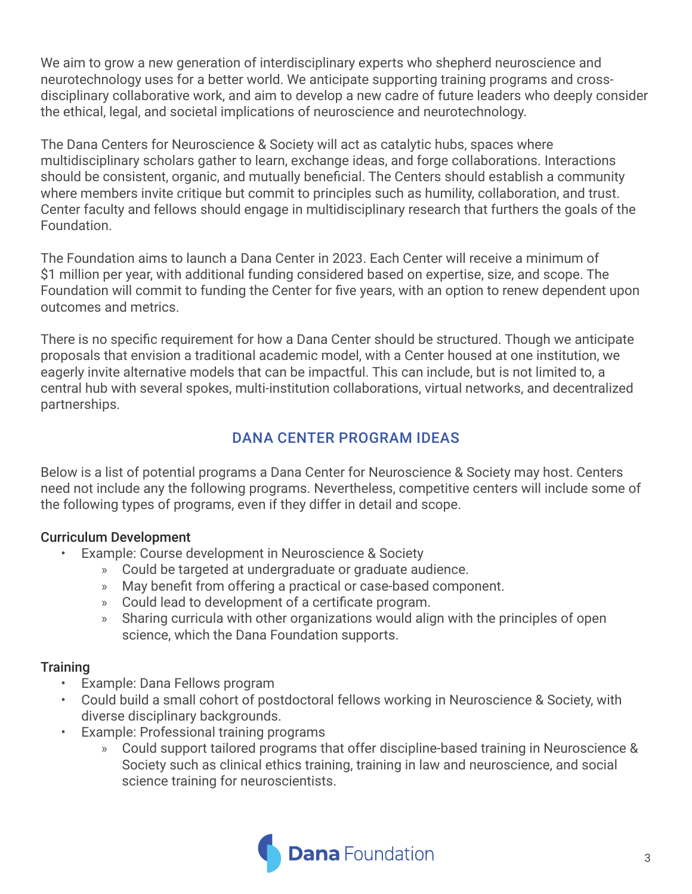We aim to grow a new generation of interdisciplinary experts who shepherd neuroscience and neurotechnology uses for a better world. We anticipate supporting training programs and crossdisciplinary collaborative work, and aim to develop a new cadre of future leaders who deeply consider the ethical, legal, and societal implications of neuroscience and neurotechnology.

The Dana Centers for Neuroscience & Society will act as catalytic hubs, spaces where multidisciplinary scholars gather to learn, exchange ideas, and forge collaborations. Interactions should be consistent, organic, and mutually beneficial. The Centers should establish a community where members invite critique but commit to principles such as humility, collaboration, and trust. Center faculty and fellows should engage in multidisciplinary research that furthers the goals of the Foundation.

The Foundation aims to launch a Dana Center in 2023. Each Center will receive a minimum of \$1 million per year, with additional funding considered based on expertise, size, and scope. The Foundation will commit to funding the Center for five years, with an option to renew dependent upon outcomes and metrics.

There is no specific requirement for how a Dana Center should be structured. Though we anticipate proposals that envision a traditional academic model, with a Center housed at one institution, we eagerly invite alternative models that can be impactful. This can include, but is not limited to, a central hub with several spokes, multi-institution collaborations, virtual networks, and decentralized partnerships.

# DANA CENTER PROGRAM IDEAS

Below is a list of potential programs a Dana Center for Neuroscience & Society may host. Centers need not include any the following programs. Nevertheless, competitive centers will include some of the following types of programs, even if they differ in detail and scope.

#### Curriculum Development

- Example: Course development in Neuroscience & Society
	- » Could be targeted at undergraduate or graduate audience.
	- » May benefit from offering a practical or case-based component.
	- » Could lead to development of a certificate program.
	- » Sharing curricula with other organizations would align with the principles of open science, which the Dana Foundation supports.

### **Training**

- Example: Dana Fellows program
- Could build a small cohort of postdoctoral fellows working in Neuroscience & Society, with diverse disciplinary backgrounds.
- Example: Professional training programs
	- » Could support tailored programs that offer discipline-based training in Neuroscience & Society such as clinical ethics training, training in law and neuroscience, and social science training for neuroscientists.

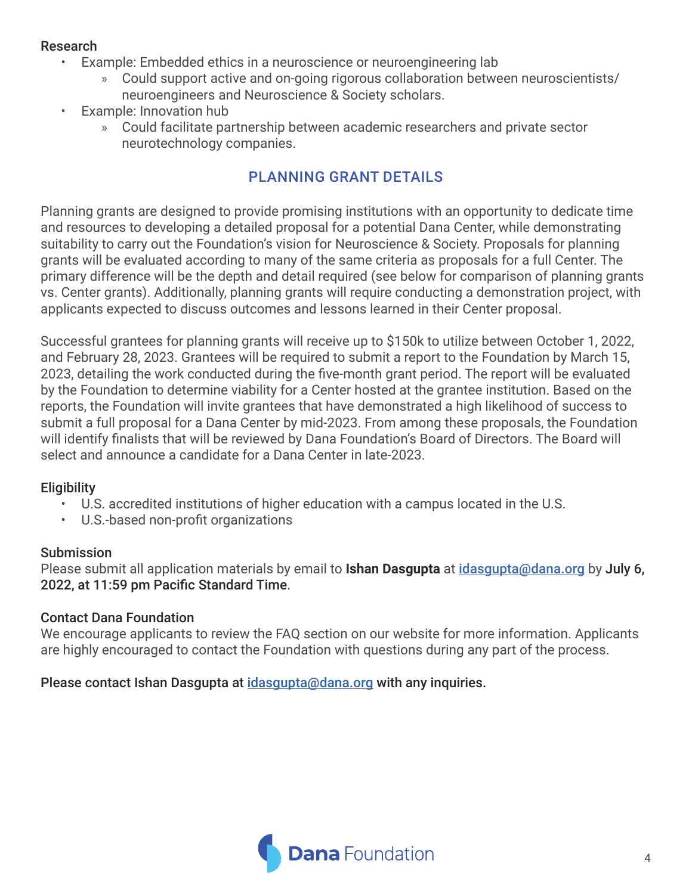#### Research

- Example: Embedded ethics in a neuroscience or neuroengineering lab
	- » Could support active and on-going rigorous collaboration between neuroscientists/ neuroengineers and Neuroscience & Society scholars.
- Example: Innovation hub
	- » Could facilitate partnership between academic researchers and private sector neurotechnology companies.

# PLANNING GRANT DETAILS

Planning grants are designed to provide promising institutions with an opportunity to dedicate time and resources to developing a detailed proposal for a potential Dana Center, while demonstrating suitability to carry out the Foundation's vision for Neuroscience & Society. Proposals for planning grants will be evaluated according to many of the same criteria as proposals for a full Center. The primary difference will be the depth and detail required (see below for comparison of planning grants vs. Center grants). Additionally, planning grants will require conducting a demonstration project, with applicants expected to discuss outcomes and lessons learned in their Center proposal.

Successful grantees for planning grants will receive up to \$150k to utilize between October 1, 2022, and February 28, 2023. Grantees will be required to submit a report to the Foundation by March 15, 2023, detailing the work conducted during the five-month grant period. The report will be evaluated by the Foundation to determine viability for a Center hosted at the grantee institution. Based on the reports, the Foundation will invite grantees that have demonstrated a high likelihood of success to submit a full proposal for a Dana Center by mid-2023. From among these proposals, the Foundation will identify finalists that will be reviewed by Dana Foundation's Board of Directors. The Board will select and announce a candidate for a Dana Center in late-2023.

## **Eligibility**

- U.S. accredited institutions of higher education with a campus located in the U.S.
- U.S.-based non-profit organizations

### Submission

Please submit all application materials by email to **Ishan Dasgupta** at [idasgupta@dana.org](mailto:idasgupta@dana.org) by July 6, 2022, at 11:59 pm Pacific Standard Time.

### Contact Dana Foundation

We encourage applicants to review the FAQ section on our website for more information. Applicants are highly encouraged to contact the Foundation with questions during any part of the process.

Please contact Ishan Dasgupta at [idasgupta@dana.org](mailto:idasgupta@dana.org) with any inquiries.

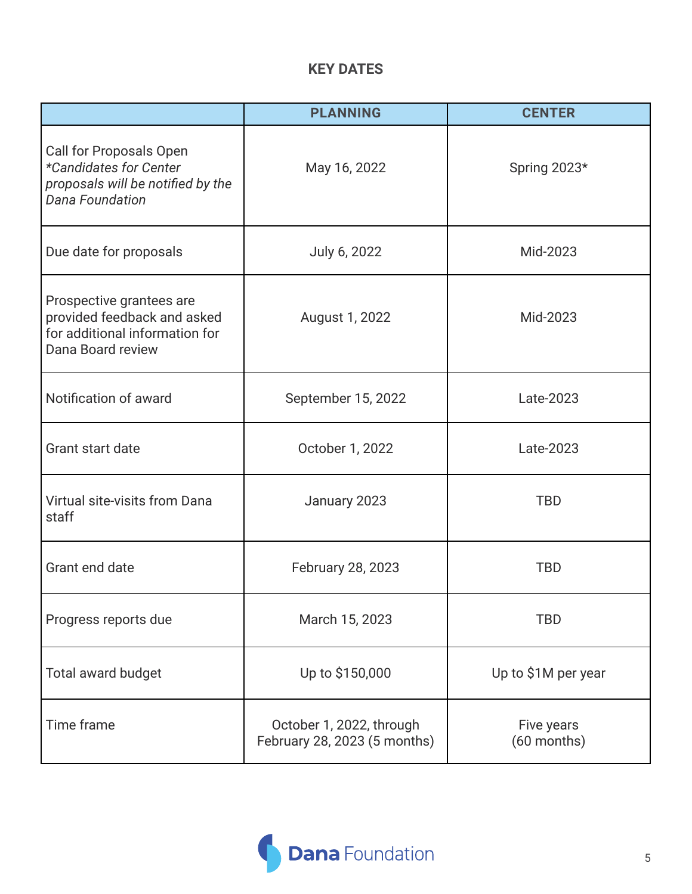## **KEY DATES**

|                                                                                                                  | <b>PLANNING</b>                                          | <b>CENTER</b>             |
|------------------------------------------------------------------------------------------------------------------|----------------------------------------------------------|---------------------------|
| Call for Proposals Open<br>*Candidates for Center<br>proposals will be notified by the<br><b>Dana Foundation</b> | May 16, 2022                                             | Spring 2023*              |
| Due date for proposals                                                                                           | July 6, 2022                                             | Mid-2023                  |
| Prospective grantees are<br>provided feedback and asked<br>for additional information for<br>Dana Board review   | August 1, 2022                                           | Mid-2023                  |
| Notification of award                                                                                            | September 15, 2022                                       | Late-2023                 |
| Grant start date                                                                                                 | October 1, 2022                                          | Late-2023                 |
| Virtual site-visits from Dana<br>staff                                                                           | January 2023                                             | <b>TBD</b>                |
| Grant end date                                                                                                   | February 28, 2023                                        | <b>TBD</b>                |
| Progress reports due                                                                                             | March 15, 2023                                           | <b>TBD</b>                |
| Total award budget                                                                                               | Up to \$150,000                                          | Up to \$1M per year       |
| Time frame                                                                                                       | October 1, 2022, through<br>February 28, 2023 (5 months) | Five years<br>(60 months) |

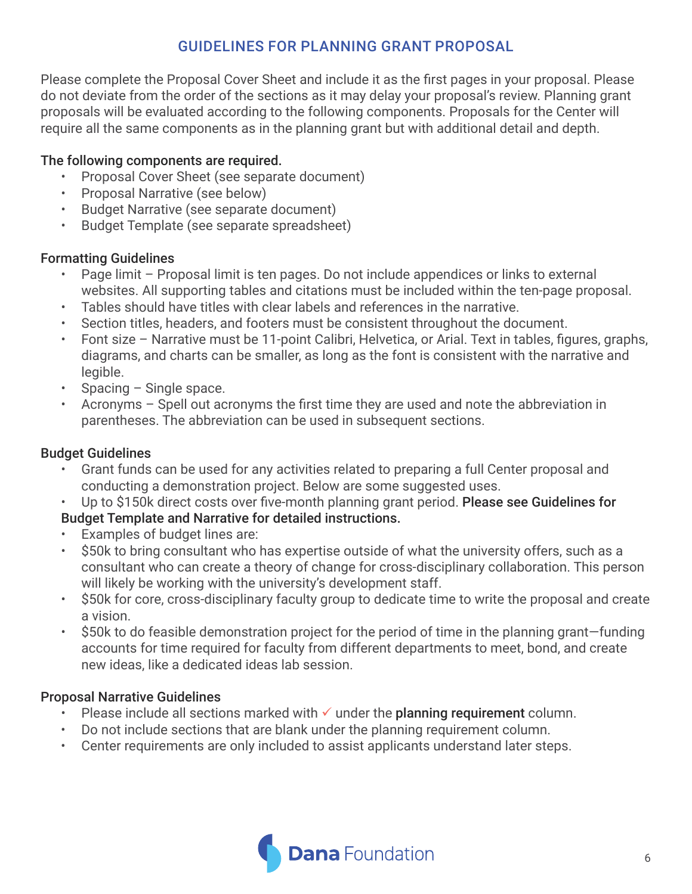# GUIDELINES FOR PLANNING GRANT PROPOSAL

Please complete the Proposal Cover Sheet and include it as the first pages in your proposal. Please do not deviate from the order of the sections as it may delay your proposal's review. Planning grant proposals will be evaluated according to the following components. Proposals for the Center will require all the same components as in the planning grant but with additional detail and depth.

#### The following components are required.

- Proposal Cover Sheet (see separate document)
- Proposal Narrative (see below)
- Budget Narrative (see separate document)
- Budget Template (see separate spreadsheet)

### Formatting Guidelines

- Page limit Proposal limit is ten pages. Do not include appendices or links to external websites. All supporting tables and citations must be included within the ten-page proposal.
- Tables should have titles with clear labels and references in the narrative.
- Section titles, headers, and footers must be consistent throughout the document.
- Font size Narrative must be 11-point Calibri, Helvetica, or Arial. Text in tables, figures, graphs, diagrams, and charts can be smaller, as long as the font is consistent with the narrative and legible.
- Spacing Single space.
- Acronyms Spell out acronyms the first time they are used and note the abbreviation in parentheses. The abbreviation can be used in subsequent sections.

### Budget Guidelines

- Grant funds can be used for any activities related to preparing a full Center proposal and conducting a demonstration project. Below are some suggested uses.
- Up to \$150k direct costs over five-month planning grant period. Please see Guidelines for
- Budget Template and Narrative for detailed instructions.
- Examples of budget lines are:
- \$50k to bring consultant who has expertise outside of what the university offers, such as a consultant who can create a theory of change for cross-disciplinary collaboration. This person will likely be working with the university's development staff.
- \$50k for core, cross-disciplinary faculty group to dedicate time to write the proposal and create a vision.
- \$50k to do feasible demonstration project for the period of time in the planning grant—funding accounts for time required for faculty from different departments to meet, bond, and create new ideas, like a dedicated ideas lab session.

#### Proposal Narrative Guidelines

- Please include all sections marked with  $\checkmark$  under the planning requirement column.
- Do not include sections that are blank under the planning requirement column.
- Center requirements are only included to assist applicants understand later steps.

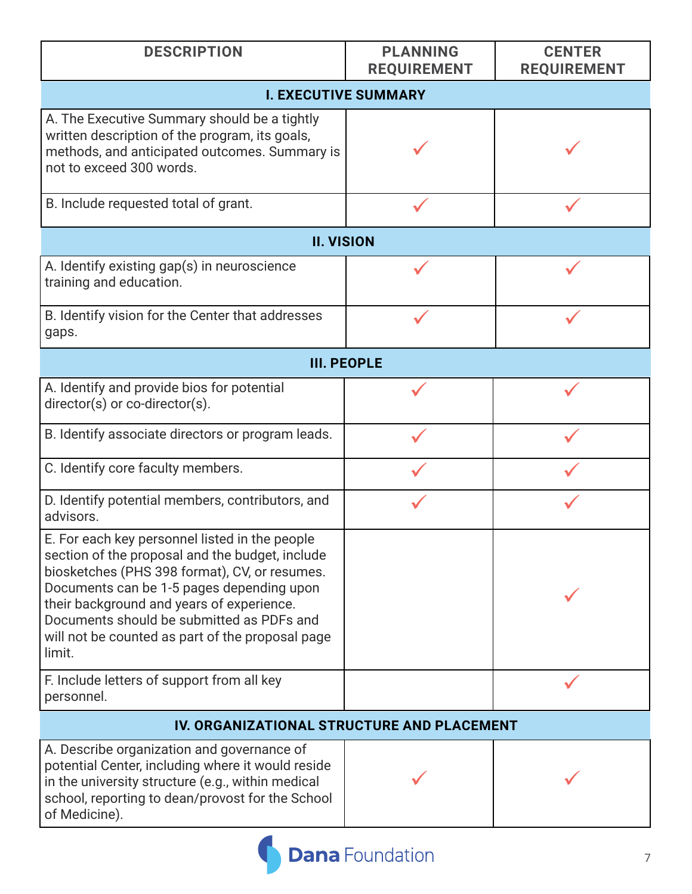| <b>DESCRIPTION</b>                                                                                                                                                                                                                                                                                                                                      | <b>PLANNING</b><br><b>REQUIREMENT</b> | <b>CENTER</b><br><b>REQUIREMENT</b> |  |  |
|---------------------------------------------------------------------------------------------------------------------------------------------------------------------------------------------------------------------------------------------------------------------------------------------------------------------------------------------------------|---------------------------------------|-------------------------------------|--|--|
| <b>I. EXECUTIVE SUMMARY</b>                                                                                                                                                                                                                                                                                                                             |                                       |                                     |  |  |
| A. The Executive Summary should be a tightly<br>written description of the program, its goals,<br>methods, and anticipated outcomes. Summary is<br>not to exceed 300 words.                                                                                                                                                                             |                                       |                                     |  |  |
| B. Include requested total of grant.                                                                                                                                                                                                                                                                                                                    |                                       |                                     |  |  |
| <b>II. VISION</b>                                                                                                                                                                                                                                                                                                                                       |                                       |                                     |  |  |
| A. Identify existing gap(s) in neuroscience<br>training and education.                                                                                                                                                                                                                                                                                  |                                       |                                     |  |  |
| B. Identify vision for the Center that addresses<br>gaps.                                                                                                                                                                                                                                                                                               |                                       |                                     |  |  |
| <b>III. PEOPLE</b>                                                                                                                                                                                                                                                                                                                                      |                                       |                                     |  |  |
| A. Identify and provide bios for potential<br>director(s) or co-director(s).                                                                                                                                                                                                                                                                            |                                       |                                     |  |  |
| B. Identify associate directors or program leads.                                                                                                                                                                                                                                                                                                       |                                       |                                     |  |  |
| C. Identify core faculty members.                                                                                                                                                                                                                                                                                                                       |                                       |                                     |  |  |
| D. Identify potential members, contributors, and<br>advisors.                                                                                                                                                                                                                                                                                           |                                       |                                     |  |  |
| E. For each key personnel listed in the people<br>section of the proposal and the budget, include<br>biosketches (PHS 398 format), CV, or resumes.<br>Documents can be 1-5 pages depending upon<br>their background and years of experience.<br>Documents should be submitted as PDFs and<br>will not be counted as part of the proposal page<br>limit. |                                       |                                     |  |  |
| F. Include letters of support from all key<br>personnel.                                                                                                                                                                                                                                                                                                |                                       |                                     |  |  |
| IV. ORGANIZATIONAL STRUCTURE AND PLACEMENT                                                                                                                                                                                                                                                                                                              |                                       |                                     |  |  |
| A. Describe organization and governance of<br>potential Center, including where it would reside<br>in the university structure (e.g., within medical<br>school, reporting to dean/provost for the School<br>of Medicine).                                                                                                                               |                                       |                                     |  |  |

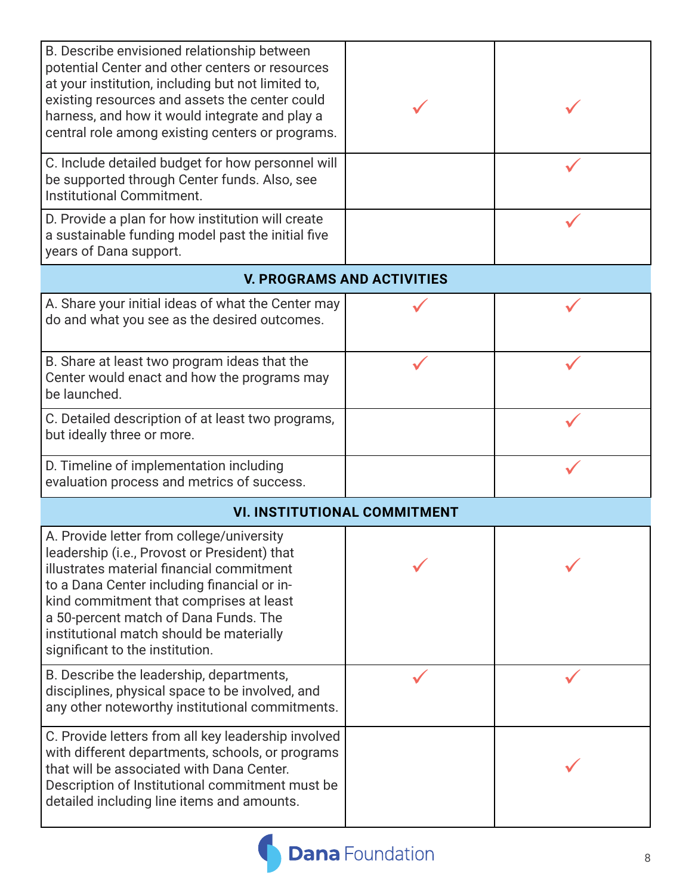| B. Describe envisioned relationship between<br>potential Center and other centers or resources<br>at your institution, including but not limited to,<br>existing resources and assets the center could<br>harness, and how it would integrate and play a<br>central role among existing centers or programs.                                             |                                   |  |  |  |
|----------------------------------------------------------------------------------------------------------------------------------------------------------------------------------------------------------------------------------------------------------------------------------------------------------------------------------------------------------|-----------------------------------|--|--|--|
| C. Include detailed budget for how personnel will<br>be supported through Center funds. Also, see<br>Institutional Commitment.                                                                                                                                                                                                                           |                                   |  |  |  |
| D. Provide a plan for how institution will create<br>a sustainable funding model past the initial five<br>years of Dana support.                                                                                                                                                                                                                         |                                   |  |  |  |
|                                                                                                                                                                                                                                                                                                                                                          | <b>V. PROGRAMS AND ACTIVITIES</b> |  |  |  |
| A. Share your initial ideas of what the Center may<br>do and what you see as the desired outcomes.                                                                                                                                                                                                                                                       |                                   |  |  |  |
| B. Share at least two program ideas that the<br>Center would enact and how the programs may<br>be launched.                                                                                                                                                                                                                                              |                                   |  |  |  |
| C. Detailed description of at least two programs,<br>but ideally three or more.                                                                                                                                                                                                                                                                          |                                   |  |  |  |
| D. Timeline of implementation including<br>evaluation process and metrics of success.                                                                                                                                                                                                                                                                    |                                   |  |  |  |
| <b>VI. INSTITUTIONAL COMMITMENT</b>                                                                                                                                                                                                                                                                                                                      |                                   |  |  |  |
| A. Provide letter from college/university<br>leadership (i.e., Provost or President) that<br>illustrates material financial commitment<br>to a Dana Center including financial or in-<br>kind commitment that comprises at least<br>a 50-percent match of Dana Funds. The<br>institutional match should be materially<br>significant to the institution. |                                   |  |  |  |
| B. Describe the leadership, departments,<br>disciplines, physical space to be involved, and<br>any other noteworthy institutional commitments.                                                                                                                                                                                                           |                                   |  |  |  |
| C. Provide letters from all key leadership involved<br>with different departments, schools, or programs<br>that will be associated with Dana Center.<br>Description of Institutional commitment must be<br>detailed including line items and amounts.                                                                                                    |                                   |  |  |  |